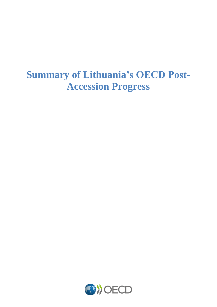# **Summary of Lithuania's OECD Post-Accession Progress**

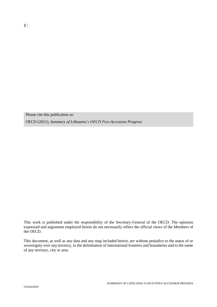Please cite this publication as:

OECD (2021), *Summary of Lithuania's OECD Post-Accession Progress*

This work is published under the responsibility of the Secretary-General of the OECD. The opinions expressed and arguments employed herein do not necessarily reflect the official views of the Members of the OECD.

This document, as well as any data and any map included herein, are without prejudice to the status of or sovereignty over any territory, to the delimitation of international frontiers and boundaries and to the name of any territory, city or area.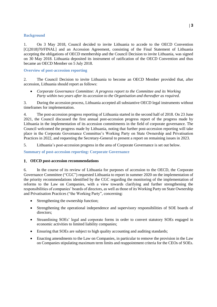#### **Background**

1. On 3 May 2018, Council decided to invite Lithuania to accede to the OECD Convention [\[C\(2018\)70/FINAL\]](https://one.oecd.org/document/C(2018)70/FINAL/en/pdf) and an Accession Agreement, consisting of the Final Statement of Lithuania accepting the obligations of OECD membership and the Council Decision to invite Lithuania, was signed on 30 May 2018. Lithuania deposited its instrument of ratification of the OECD Convention and thus became an OECD Member on 5 July 2018.

### **Overview of post-accession reporting**

2. The Council Decision to invite Lithuania to become an OECD Member provided that, after accession, Lithuania should report as follows:

 *Corporate Governance Committee: A progress report to the Committee and its Working Party within two years after its accession to the Organisation and thereafter as required.*

3. During the accession process, Lithuania accepted all substantive OECD legal instruments without timeframes for implementation.

4. The post-accession progress reporting of Lithuania started in the second half of 2018. On 23 June 2021, the Council discussed the first annual post-accession progress report of the progress made by Lithuania in the implementation of its accession commitments in the field of corporate governance. The Council welcomed the progress made by Lithuania, noting that further post-accession reporting will take place in the Corporate Governance Committee's Working Party on State Ownership and Privatisation Practices in 2022, and requesting the Secretary-General to present a report on remaining issues in 2023.

5. Lithuania's post-accession progress in the area of Corporate Governance is set out below.

**Summary of post-accession reporting: Corporate Governance**

#### **OECD post-accession recommendations**

6. In the course of its review of Lithuania for purposes of accession to the OECD, the Corporate Governance Committee ("CGC") requested Lithuania to report in summer 2020 on the implementation of the priority recommendations identified by the CGC regarding the monitoring of the implementation of reforms to the Law on Companies, with a view towards clarifying and further strengthening the responsibilities of companies' boards of directors, as well as those of its Working Party on State Ownership and Privatisation Practices ("the Working Party", concerning:

- Strengthening the ownership function;
- Strengthening the operational independence and supervisory responsibilities of SOE boards of directors;
- Streamlining SOEs' legal and corporate forms in order to convert statutory SOEs engaged in economic activities to limited liability companies;
- Ensuring that SOEs are subject to high quality accounting and auditing standards;
- Enacting amendments to the Law on Companies, in particular to remove the provision in the Law on Companies stipulating maximum term limits and reappointment criteria for the CEOs of SOEs.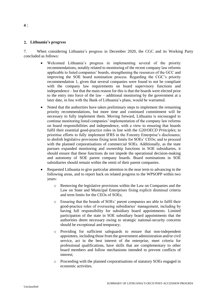## **Lithuania's progress**

7. When considering Lithuania's progress in December 2020, the CGC and its Working Party concluded as follows:

- Welcomed Lithuania's progress in implementing several of the priority recommendations, notably related to monitoring of the recent company law reforms applicable to listed companies' boards, strengthening the resources of the GCC and improving the SOE board nomination process. Regarding the CGC's priority recommendation 1, given that several companies were found to not be compliant with the company law requirements on board supervisory functions and independence – but that the main reason for this is that the boards were elected prior to the entry into force of the law – additional monitoring by the government at a later date, in line with the Bank of Lithuania's plans, would be warranted.
- Noted that the authorities have taken preliminary steps to implement the remaining priority recommendations, but more time and continued commitment will be necessary to fully implement them. Moving forward, Lithuania is encouraged to continue monitoring listed companies' implementation of the company law reforms on board responsibilities and independence, with a view to ensuring that boards fulfil their essential good-practice roles in line with the *G20/OECD Principles*; to prioritise efforts to fully implement IFRS in the Forestry Enterprise's disclosures; to abolish legislative provisions fixing term limits for SOEs' CEOs; and to proceed with the planned corporatisations of commercial SOEs. Additionally, as the state pursues expanded monitoring and ownership functions in SOE subsidiaries, it should ensure that these functions do not impede the operational decision-making and autonomy of SOE parent company boards. Board nominations in SOE subsidiaries should remain within the remit of their parent companies.
- Requested Lithuania to give particular attention in the near term to advancing in the following areas, and to report back on related progress to the WPSOPP within two years:
	- o Removing the legislative provisions within the Law on Companies and the Law on State and Municipal Enterprises fixing explicit dismissal criteria and term limits for the CEOs of SOEs;
	- o Ensuring that the boards of SOEs' parent companies are able to fulfil their good-practice roles of overseeing subsidiaries' management, including by having full responsibility for subsidiary board appointments. Limited participation of the state in SOE subsidiary board appointments that the authorities deem necessary owing to strategic national-security concerns should be exceptional and temporary;
	- o Providing for sufficient safeguards to ensure that non-independent appointees, including those from the government administration and/or civil service, act in the best interest of the enterprise, meet criteria for professional qualifications, have skills that are complementary to other board members and follow mechanisms intended to prevent conflicts of interest;
	- o Proceeding with the planned corporatisations of statutory SOEs engaged in economic activities.